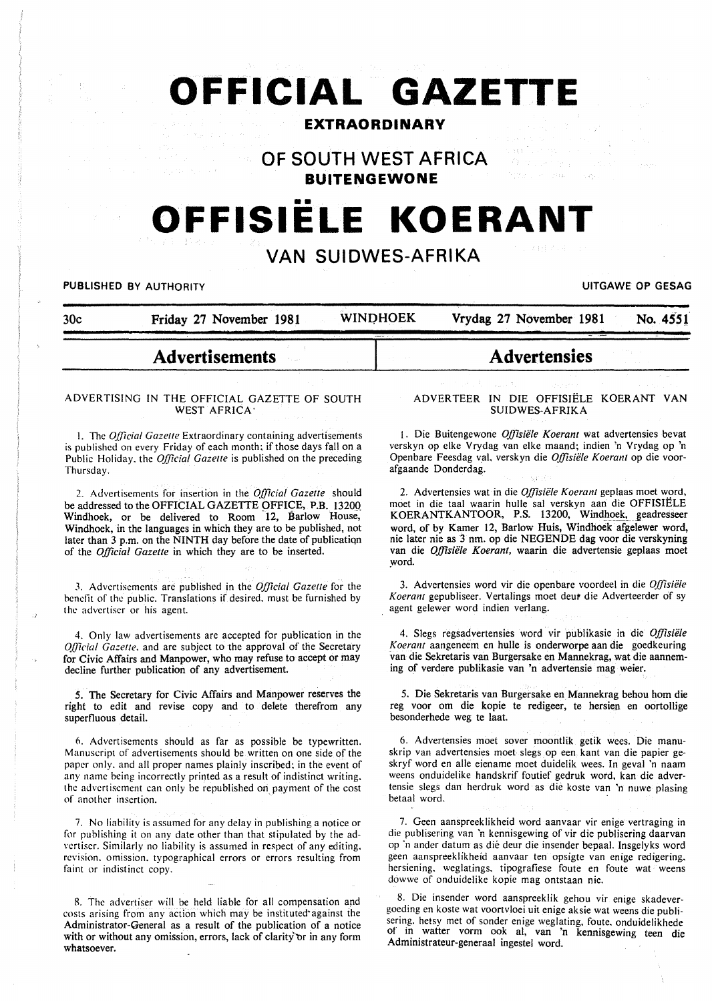# **OFFICIAL GAZETTE**

# **EXTRAORDINARY**

OF SOUTH WEST AFRICA

**BUITENGEWONE** 

# •• **OFFISIELE KOERANT**

# VAN SUIDWES-AFRIKA

PUBLISHED BY AUTHORITY **International Contract Contract Contract Contract Contract Contract Contract Contract Contract Contract Contract Contract Contract Contract Contract Contract Contract Contract Contract Contract Cont** 

30c Friday 27 November 1981 WINDHOEK Vrydag 27 November 1981 No. 4551

# Advertisements

#### ADVERTISING IN THE OFFICIAL GAZETTE OF SOUTH WEST AFRICA·

I. The *Official Gazelle* Extraordinary containing advertisements is published on every Friday of each month; if those days fall on a Public Holiday. the *Official Gazelle* is published on the preceding Thursday.

2. Advertisements for insertion in the *Official Gazelle* should be addressed to the OFFICIAL GAZETTE OFFICE, P.B. 13200 Windhoek, or be delivered to Room 12, Barlow House, Windhoek, in the languages in which they are to be published, not later than 3 p.m. on the NINTH day before the date of publicatiqn of the *Official Gazette* in which they are to be inserted.

J. Advertisements are published in the *Official Gazelle* for the benefit of the public. Translations if desired. must be furnished by the advertiser or his agent.

4. Only law advertisements are accepted for publication in the *Official Gazette*, and are subject to the approval of the Secretary for Civic Affairs and Manpower, who may refuse to accept or may decline further publication of any advertisement.

5. The Secretary for Civic Affairs and Manpower reserves the right to edit and revise copy and to delete therefrom any superfluous detail.

6. Advertisements should as far as possible be typewritten. Manuscript of advertisements should be written on one side of the paper only. and all proper names plainly inscribed: in the event of any name being incorrectly printed as a result of indistinct writing. the advertisement can only be republished on payment of the cost of another insertion.

7. No liability is assumed for any delay in publishing a notice or for publishing it on any date other than that stipulated by the advertiser. Similarly no liability is assumed in respect of any editing. revision. omission. typographical errors or errors resulting from faint or indistinct copy.

8. The advertiser will be held liable for all compensation and costs arising from any action which may be instituted·against the Administrator-General as a result of the publication of a notice with or without any omission, errors, lack of clarity or in any form whatsoever.

#### ADVERTEER IN DIE OFFISIELE KOERANT VAN SUIDWES-AFRIKA

Advertensies

1. Die Buitengewone *Offisiiile Koerant* wat advertensies bevat verskyn op elke Vrydag van elke maand; indien 'n Vrydag op 'n Openbare Feesdag val, verskyn die *Offisiiile Koerant* op die voorafgaande Donderdag.

2. Advertensies wat in die *Offisiiile Koerant* geplaas moet word, moet in die taal waarin hulle sal verskyn aan die OFFISIELE KOERANTKANTOOR, P.S. 13200, Windhoek, geadresseer word, of by Kamer 12, Barlow Huis, Windhoek afgelewer word, nie later nie as 3 nm. op die NEGENDE dag voor die verskyning van die *Offisiiile Koerant,* waarin die advertensie geplaas moet \_word.

3. Advertensies word vir die openbare voordeel in die *Offisiiile*  Koerant gepubliseer. Vertalings moet deut die Adverteerder of sy agent gelewer word indien verlang.

4. Slegs regsadvertensies word vir publikasie in die *Offisiiile Koerant* aangeneem en bulle is onderworpe aan die goedkeuring van die Sekretaris van Burgersake en Mannekrag, wat die aanneming of verdere publikasie van 'n advertensie mag weier.

5. Die Sekretaris van Burgersake en Mannekrag behou hom die reg voor om die kopie te redigeer, te hersien en oortollige besonderhede weg te laat.

6. Advertensies moet sover moontlik getik wees. Die manuskrip van advertensies moet slegs. op een kant van die papier geskryf word en aile eiename moet duidelik wees. In geval 'n naam weens onduidelike handskrif foutief gedruk word, kan die advertensie slegs dan herdruk word as die koste van 'n nuwe plasing betaal word.

7. Geen aanspreeklikheid word aanvaar vir enige vertraging in die publisering van 'n kennisgewing of vir die publisering daarvan op "n ander datum as die deur die insender bepaal. Insgelyks word geen aanspreeklikheid aanvaar ten opsigte van enige redigering. hersiening. weglatings. tipografiese foute en foute wat weens dowwe of onduidelike kopie mag ontstaan nie.

8. Die insender word aanspreeklik gehou vir enige skadevergoeding en koste wat voortvloei uit enige aksie wat weens die publisering. hetsy met of sonder enige weglating. foute. onduidelikhede of in watter vorm ook al, van 'n kennisgewing teen die Administrateur-generaal ingestel word.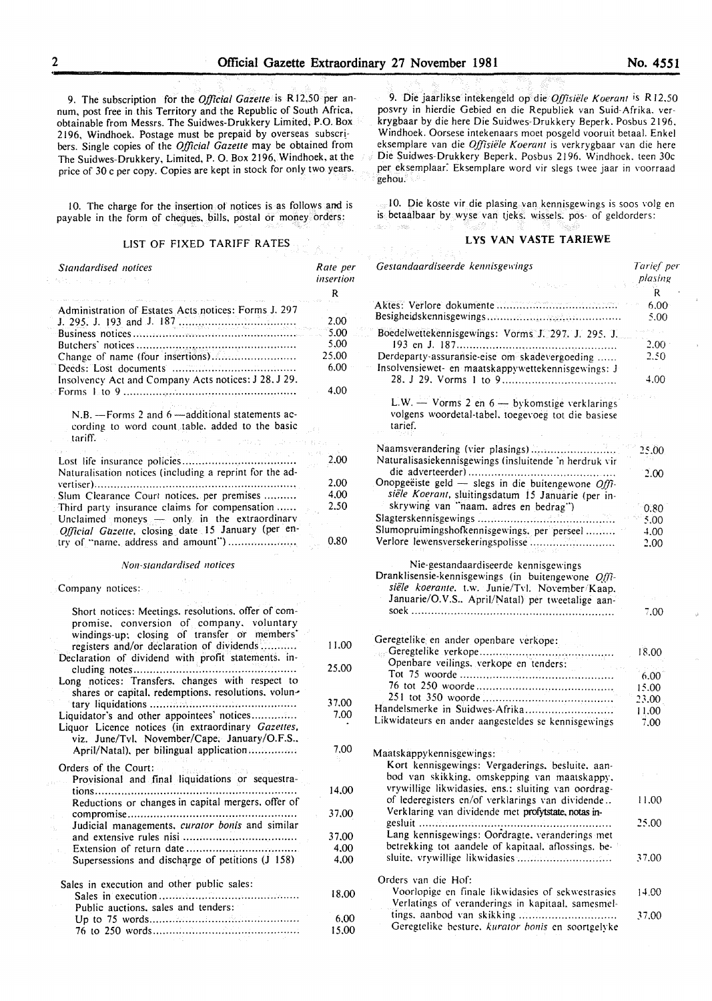9. The subscription for the *Official Gazette* is R 12,50 per annum, post free in this Territory and the Republic of South Africa, obtainable from Messrs. The Suidwes-Drukkery Limited, P.O. Box 2196, Windhoek. Postage must be prepaid by overseas subscr! bers. Single copies of the *Official Gazette* may be obtained from The Suidwes-Drukkery, Limited, P. 0. Box 2196, Windhoek, at the price of 30 c per copy. Copies are kept in stock for only two years.

10. The charge for the insertion of notices is as follows and is payable in the form of cheques, bills, postal or money orders:

## LIST OF FIXED TARIFF RATES

| Standardised notices<br>직업 그리고 있으면 그리고 말                                                                                                         | Rate per<br>insertion |
|--------------------------------------------------------------------------------------------------------------------------------------------------|-----------------------|
|                                                                                                                                                  | R                     |
| Administration of Estates Acts notices: Forms J. 297                                                                                             |                       |
|                                                                                                                                                  | 2.00                  |
|                                                                                                                                                  | 5.00                  |
|                                                                                                                                                  | 5.00                  |
| Change of name (four insertions)                                                                                                                 | 25,00                 |
|                                                                                                                                                  | 6.00                  |
| Insolvency Act and Company Acts notices: J 28, J 29.                                                                                             |                       |
|                                                                                                                                                  | 4.00                  |
| N.B. - Forms 2 and 6 - additional statements ac-<br>cording to word count table, added to the basic<br>tariff. .<br>in a company of CD           |                       |
|                                                                                                                                                  |                       |
|                                                                                                                                                  | 2.00                  |
| Naturalisation notices (including a reprint for the ad-                                                                                          |                       |
|                                                                                                                                                  | 2.00                  |
| Slum Clearance Court notices, per premises                                                                                                       | 4.00                  |
| Third party insurance claims for compensation                                                                                                    | 2.50                  |
| Unclaimed moneys - only in the extraordinary                                                                                                     |                       |
| Official Gazette, closing date 15 January (per en-                                                                                               |                       |
| try of "name, address and amount")                                                                                                               | 0.80                  |
| Non-standardised notices                                                                                                                         |                       |
| Company notices:                                                                                                                                 |                       |
| Short notices: Meetings. resolutions. offer of com-<br>promise, conversion of company, voluntary<br>windings-up; closing of transfer or members' |                       |
| registers and/or declaration of dividends<br>Declaration of dividend with profit statements. in-                                                 | 11.00                 |
| Long notices: Transfers, changes with respect to<br>shares or capital, redemptions, resolutions, volun-                                          | 25,00                 |
|                                                                                                                                                  | 37.00                 |
| Liquidator's and other appointees' notices<br>Liquor Licence notices (in extraordinary Gazettes,<br>viz. June/Tvl. November/Cape. January/O.F.S  | 7.00                  |
| April/Natal), per bilingual application                                                                                                          | 7.00                  |
| Orders of the Court:<br>Provisional and final liquidations or sequestra-                                                                         |                       |
|                                                                                                                                                  | 14.00                 |
| Reductions or changes in capital mergers, offer of                                                                                               |                       |
|                                                                                                                                                  | 37,00                 |
|                                                                                                                                                  |                       |
| Judicial managements, curator bonis and similar                                                                                                  |                       |
|                                                                                                                                                  | 37.00                 |
| Supersessions and discharge of petitions (J 158)                                                                                                 | 4,00<br>4.00          |
|                                                                                                                                                  |                       |
| Sales in execution and other public sales:                                                                                                       |                       |
| Public auctions, sales and tenders:                                                                                                              | 18.00                 |
|                                                                                                                                                  | 6,00                  |
|                                                                                                                                                  | 15.00                 |

9. Die jaarlikse intekengeld op die *Offisiele Koerant* is R 12.50 posvry in hierdie Gebied en die Republiek van Suid-Afrika. verkrygbaar by die here Die Suidwes-Drukkery Beperk. Posbus 2196. Windhoek. Oorsese intekenaars moet posgeld vooruit betaal. Enkel eksemplare van die *Offisiële Koerant* is verkrygbaar van die here Die Suidwes-Drukkery Beperk. Posbus 2196. Windhoek. teen 30c per eksemplaar: Eksemplare word vir slegs twee jaar in voorraad gehou.

I 0. Die koste vir die plasing van kennisgewings is soos volg en is betaalbaar by wyse van tjeks. wissels. pos- of geldorders:

#### LYS VAN VASTE TARIEWE

| Gestandaardiseerde kennisgewings                                                                                                                                                                | Tarief per<br>plasing       |
|-------------------------------------------------------------------------------------------------------------------------------------------------------------------------------------------------|-----------------------------|
|                                                                                                                                                                                                 | R<br>$6.00^{\circ}$<br>5.00 |
| Boedelwettekennisgewings: Vorms J. 297. J. 295. J.                                                                                                                                              |                             |
| Derdeparty-assuransie-eise om skadevergoeding<br>Insolvensiewet- en maatskappywettekennisgewings: J                                                                                             | 2.00 <sub>1</sub><br>2.50   |
|                                                                                                                                                                                                 | 4.00                        |
| L.W. - Vorms 2 en 6 - bykomstige verklarings<br>volgens woordetal-tabel, toegevoeg tot die basiese<br>tarief.                                                                                   |                             |
| Naamsverandering (vier plasings)<br>Naturalisasiekennisgewings (insluitende 'n herdruk vir                                                                                                      | 25.00                       |
| Onopgeëiste geld - slegs in die buitengewone Offi-<br>siële Koerant, sluitingsdatum 15 Januarie (per in-                                                                                        | 2.00                        |
| skrywing van "naam. adres en bedrag")                                                                                                                                                           | 0.80                        |
|                                                                                                                                                                                                 | 5.00                        |
| Slumopruimingshofkennisgewings, per perseel                                                                                                                                                     | 4.00                        |
| Verlore lewensversekeringspolisse                                                                                                                                                               | 2.00                        |
| Nie-gestandaardiseerde kennisgewings<br>Dranklisensie-kennisgewings (in buitengewone Offi-<br>siële koerante. t.w. Junie/Tvl. November/Kaap.<br>Januarie/O.V.S April/Natal) per tweetalige aan- |                             |
|                                                                                                                                                                                                 | 7.00                        |
| Geregtelike en ander openbare verkope:                                                                                                                                                          |                             |
| Openbare veilings, verkope en tenders:                                                                                                                                                          | 18.00                       |
|                                                                                                                                                                                                 | 6.00                        |
|                                                                                                                                                                                                 |                             |
|                                                                                                                                                                                                 | 15.00                       |
| Handelsmerke in Suidwes-Afrika                                                                                                                                                                  | 23.00                       |
|                                                                                                                                                                                                 | 11.00                       |
| Likwidateurs en ander aangesteldes se kennisgewings                                                                                                                                             | 7.00                        |
| Maatskappykennisgewings:                                                                                                                                                                        |                             |
| Kort kennisgewings: Vergaderings, besluite, aan-<br>bod van skikking, omskepping van maatskappy.                                                                                                |                             |
| vrywillige likwidasies, ens.; sluiting van oordrag-<br>of lederegisters en/of verklarings van dividende<br>Verklaring van dividende met profytstate, notas in-                                  | 11.00                       |
| Lang kennisgewings: Oordragte, veranderings met                                                                                                                                                 | 25.00                       |
| betrekking tot aandele of kapitaal. aflossings, be-                                                                                                                                             | 37.00                       |
| Orders van die Hof:<br>Voorlopige en finale likwidasies of sekwestrasies                                                                                                                        | 14.00                       |
| Verlatings of veranderings in kapitaal, samesmel-<br>tings. aanbod van skikking<br>Geregtelike besture. kurator bonis en soortgelyke                                                            | 37.00                       |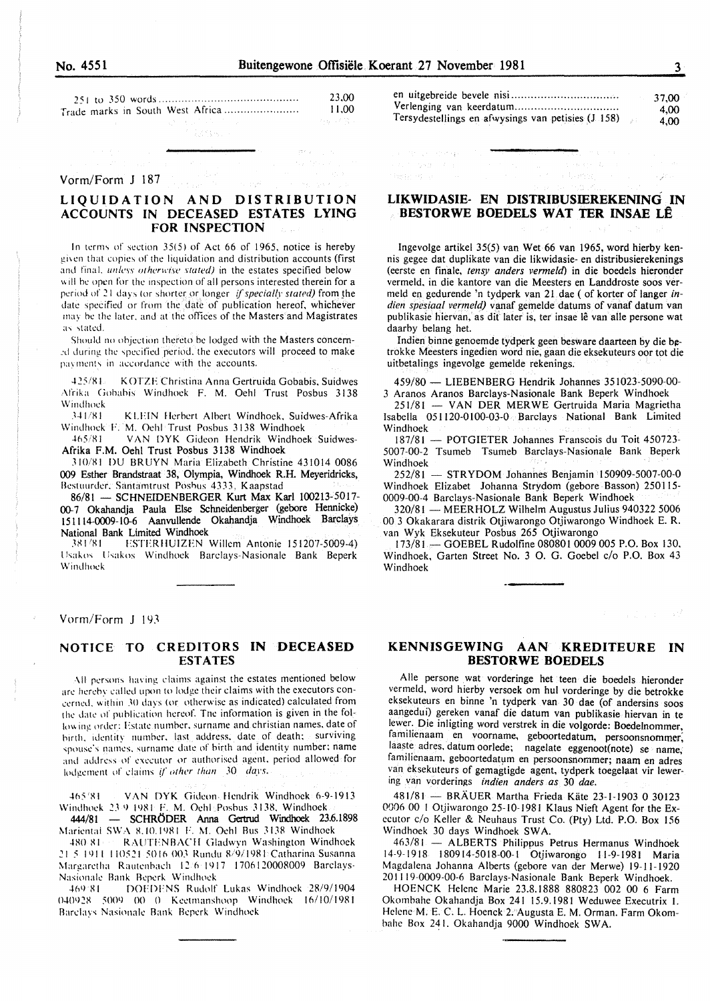sa serenga serenga

| No. 4551 |  |
|----------|--|
|          |  |

|  |  |  |  | 23.00                            |         |
|--|--|--|--|----------------------------------|---------|
|  |  |  |  | Trade marks in South West Africa | 11.00   |
|  |  |  |  |                                  | 그는 너무 있 |

完成な人

#### Vorm/Form J 187

## LIQUIDATION AND DISTRIBUTION ACCOUNTS IN DECEASED ESTATES LYING **FOR INSPECTION**

In terms of section 35(5) of Act 66 of 1965, notice is hereby given that copies of the liquidation and distribution accounts (first and final, unless otherwise stated) in the estates specified below will be open for the inspection of all persons interested therein for a period of 21 days (or shorter or longer if specially stated) from the date specified or from the date of publication hereof, whichever may be the later, and at the offices of the Masters and Magistrates as stated.

Should no objection thereto be lodged with the Masters concerned during the specified period, the executors will proceed to make payments in accordance with the accounts.

 $425/81$ KOTZE Christina Anna Gertruida Gobabis, Suidwes Afrika Gobabis Windhoek F. M. Oehl Trust Posbus 3138 Windhock

341/81 KLEIN Herbert Albert Windhoek, Suidwes-Afrika Windhock F. M. Ochl Trust Posbus 3138 Windhock

VAN DYK Gideon Hendrik Windhoek Suidwes- $465/81$ Afrika F.M. Oehl Trust Posbus 3138 Windhoek

310/81 DU BRUYN Maria Elizabeth Christine 431014 0086 009 Esther Brandstraat 38, Olympia, Windhoek R.H. Meyeridricks, Bestuurder, Santamtrust Posbus 4333, Kaapstad

86/81 - SCHNEIDENBERGER Kurt Max Karl 100213-5017-00-7 Okahandja Paula Else Schneidenberger (gebore Hennicke) 151114-0009-10-6 Aanvullende Okahandja Windhoek Barclays National Bank Limited Windhoek

381/81 ESTERHUIZEN Willem Antonie 151207-5009-4) Usakos Usakos Windhoek Barclays-Nasionale Bank Beperk Windhock

#### Vorm/Form J 193

#### NOTICE TO CREDITORS IN DECEASED **ESTATES**

All persons having claims against the estates mentioned below are hereby called upon to lodge their claims with the executors concerned, within 30 days (or otherwise as indicated) calculated from the date of publication hereof. The information is given in the following order: Estate number, surname and christian names, date of birth, identity number, last address, date of death; surviving spouse's names, surname date of birth and identity number; name and address of executor or authorised agent, period allowed for lodgement of claims if other than  $30$  days.

 $165'81$ VAN DYK Gideon Hendrik Windhoek 6-9-1913 Windhoek 23.9 1981 F. M. Ochl: Posbus 3138, Windhoek

444/81 - SCHRÖDER Anna Gertrud Windhoek 23.6.1898 Mariental SWA 8.10.1981 F. M. Oehl Bus 3138 Windhoek

RAUTENBACH Gladwyn Washington Windhoek 180.81-21-5-1911-110521-5016-003 Rundu 8/9/1981 Catharina Susanna Margaretha Rautenbach 12/6/1917 1706120008009 Barclays-Nasionale Bank Beperk Windhock

DOEDENS Rudolf Lukas Windhoek 28/9/1904 469.81 040928 5009 00 0 Keetmanshoop Windhoek 16/10/1981 Barclays Nasionale Bank Beperk Windhock

|                                                    |      | 37.00 |
|----------------------------------------------------|------|-------|
| Verlenging van keerdatum                           |      | 4.00  |
| Tersydestellings en afwysings van petisies (J 158) | - 83 | 4.00  |

### LIKWIDASIE- EN DISTRIBUSIEREKENING IN BESTORWE BOEDELS WAT TER INSAE LÊ

Ingevolge artikel 35(5) van Wet 66 van 1965, word hierby kennis gegee dat duplikate van die likwidasie- en distribusierekenings (eerste en finale, tensy anders vermeld) in die boedels hieronder vermeld, in die kantore van die Meesters en Landdroste soos vermeld en gedurende 'n tydperk van 21 dae ( of korter of langer indien spesiaal vermeld) vanaf gemelde datums of vanaf datum van publikasie hiervan, as dit later is, ter insae lê van alle persone wat daarby belang het.

Indien binne genoemde tydperk geen besware daarteen by die betrokke Meesters ingedien word nie, gaan die eksekuteurs oor tot die uitbetalings ingevolge gemelde rekenings.

459/80 - LIEBENBERG Hendrik Johannes 351023-5090-00-3 Aranos Aranos Barclays-Nasionale Bank Beperk Windhoek

251/81 - VAN DER MERWE Gertruida Maria Magrietha Isabella 051120-0100-03-0 Barclays National Bank Limited Windhoek

187/81 - POTGIETER Johannes Franscois du Toit 450723-5007-00-2 Tsumeb Tsumeb Barclays-Nasionale Bank Beperk Windhoek

252/81 - STRYDOM Johannes Benjamin 150909-5007-00-0 Windhoek Elizabet Johanna Strydom (gebore Basson) 250115-0009-00-4 Barclays-Nasionale Bank Beperk Windhoek

320/81 - MEERHOLZ Wilhelm Augustus Julius 940322 5006 00 3 Okakarara distrik Otiiwarongo Otiiwarongo Windhoek E. R. van Wyk Eksekuteur Posbus 265 Otjiwarongo

173/81 - GOEBEL Rudolfine 080801 0009 005 P.O. Box 130, Windhoek, Garten Street No. 3 O. G. Goebel c/o P.O. Box 43 Windhoek

#### KENNISGEWING AAN KREDITEURE IN **BESTORWE BOEDELS**

Alle persone wat vorderinge het teen die boedels hieronder vermeld, word hierby versoek om hul vorderinge by die betrokke eksekuteurs en binne 'n tydperk van 30 dae (of andersins soos aangedui) gereken vanaf die datum van publikasie hiervan in te lewer. Die inligting word verstrek in die volgorde: Boedelnommer, familienaam en voorname, geboortedatum, persoonsnommer, laaste adres, datum oorlede; nagelate eggenoot(note) se name, familienaam, geboortedatum en persoonsnommer; naam en adres van eksekuteurs of gemagtigde agent, tydperk toegelaat vir lewering van vorderings indien anders as 30 dae.

481/81 - BRÄUER Martha Frieda Käte 23-1-1903 0 30123 0006 00 1 Otjiwarongo 25-10-1981 Klaus Nieft Agent for the Executor c/o Keller & Neuhaus Trust Co. (Pty) Ltd. P.O. Box 156 Windhoek 30 days Windhoek SWA.

463/81 - ALBERTS Philippus Petrus Hermanus Windhoek 14-9-1918 180914-5018-00-1 Otjiwarongo 11-9-1981 Maria Magdalena Johanna Alberts (gebore van der Merwe) 19-11-1920 201119-0009-00-6 Barclays-Nasionale Bank Beperk Windhoek.

HOENCK Helene Marie 23.8.1888 880823 002 00 6 Farm Okombahe Okahandja Box 241 15.9.1981 Weduwee Executrix 1. Helene M. E. C. L. Hoenck 2. Augusta E. M. Orman. Farm Okombahe Box 241. Okahandja 9000 Windhoek SWA.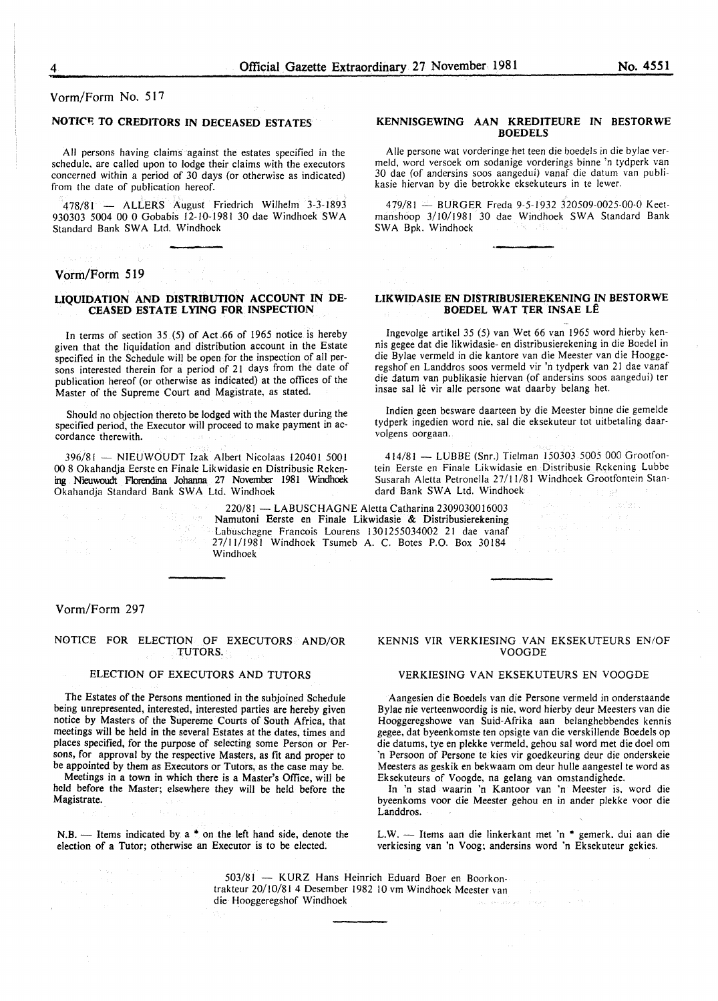Vorm/Form No. 517

# **NOTICE TO CREDITORS IN DECEASED ESTATES**

All persons having claims against the estates specified in the schedule, are called upon to lodge their claims with the executors concerned within a period of 30 days (or otherwise as indicated) from the date of publication hereof.

478/81 - ALLERS August Friedrich Wilhelm 3-3-1893 930303 5004 00 0 Gobabis 12-10-1981 30 dae Windhoek SW A Standard Bank SWA Ltd. Windhoek

#### **Vorm/Form 519**

in Province

#### **LIQUIDATION AND DISTRIBUTION ACCOUNT IN DE-CEASED ESTATE LYING FOR INSPECTION**

In terms of section 35 (5) of Act.66 of 1965 notice is hereby given that the liquidation and distribution account in the Estate specified in the Schedule will be open for the inspection of all persons interested therein for a period of 21 days from the date of publication hereof (or otherwise as indicated) at the offices of the Master of the Supreme Court and Magistrate, as stated.

Should no objection thereto be lodged with the Master during the specified period, the Executor will proceed to make payment in accordance therewith.

396/81 - NIEUWOUDT Izak Albert Nicolaas 120401 5001 00 8 Okahandja Eerste en Finale Lik widasie en Distribusie Rekening Nieuwoudt Florendina Johanna 27 November 1981 Wmdhoek Okahandja Standard Bank SWA Ltd. Windhoek

**AB 10000** 

#### **KENNISGEWING AAN KREDITEURE IN BESTORWE BOEDELS**

Aile persone wat vorderinge het teen die boedels in die bylae vermeld, word versoek om sodanige vorderings binne 'n tydperk van 30 dae (of andersins soos aangedui) vanaf die datum van publikasie hiervan by die betrokke eksekuteurs in te fewer.

479/81 - BURGER Freda 9-5-1932 320509-0025-00-0 Keetmanshoop 3/10/1981 30 dae Windhoek SWA Standard Bank SWA Bpk. Windhoek

#### **LIKWIDASIE EN DISTRIBUSIEREKENING IN BESTORWE BOEDEL WAT TER INSAE LE**

Ingevolge artikel 35 (5) van Wet 66 van 1965 word hierby kennis gegee dat die likwidasie- en distribusierekening in die Boedel in die Bylae vermeld in die kantore van die Meester van die Hooggeregshof en Landdros soos vermeld vir 'n tydperk van 21 dae vanaf die datum van publikasie hiervan (of andersins soos aangedui) ter insae sal lê vir alle persone wat daarby belang het.

lndien geen besware daarteen by die Meester binne die gemelde tydperk ingedien word nie. sal die eksekuteur tot uitbetaling daarvolgens oorgaan.

414/81 - LUBBE (Snr.) Tielman 150303 5005 000 Grootfontein Eerste en Finale Likwidasie en Distribusie Rekening Lubbe Susarah Aletta Petronella 27/11/81 Windhoek Grootfontein Standard Bank SWA Ltd. Windhoek

 $\sim$   $\gamma^{\rm 1}$   $\sim$   $\gamma^{\rm 1}$ 

220/81- LABUSCHAGNE Aletta Catharina 2309030016003 Namutoni Eerste en Finale Likwidasie & Distribusierekening Labuschagne Francois Lourens 1301255034002 21 dae vanaf 27/11/1981 Windhoek Tsumeb A. C. Botes P.O. Box 30184 Windhoek

#### Vorm/Form 297

#### NOTICE FOR ELECTION OF EXECUTORS AND/OR TUTORS.

#### ELECTION OF EXECUTORS AND TUTORS

The Estates of the Persons mentioned in the subjoined Schedule being unrepresented, interested, interested parties are hereby given notice by Masters of the Supereme Courts of South Africa, that meetings will be held in the several Estates at the dates, times and places specified, for the purpose of selecting some Person or Persons, for approval by the respective Masters, as fit and proper to be appointed by them as Executors or Tutors, as the case may be.

Meetings in a town in which there is a Master's Office, will be held before the Master; elsewhere they will be held before the Magistrate.

N.B. - Items indicated by a \* on the left hand side, denote the election of a Tutor; otherwise an Executor is to be elected.

#### KENNIS VIR VERKIESING VAN EKSEKUTEURS EN/OF VOOGDE

#### VERKIESING VAN EKSEKUTEURS EN VOOGDE

Aangesien die Boedels van die Persone vermeld in onderstaande Bylae nie verteenwoordig is nie. word hierby deur Meesters van die Hooggeregshowe van Suid-Afrika aan belanghebbendes kennis gegee, dat byeenkomste ten opsigte van die verskillende Boedels op die datums, tye en plekke vermeld. gehou sal word met die doe! om 'n Persoon of Persone te kies vir goedkeuring deur die onderskeie Meesters as geskik en bekwaam om deur hulle aangestel te word as Eksekuteurs of Voogde. na gelang van omstandighede.

In 'n stad waarin 'n Kantoor van 'n Meester is. word die byeenkoms voor die Meester gehou en in ander plekke voor die Landdros.

L.W. - Items aan die linkerkant met 'n \* gemerk, dui aan die verkiesing van 'n Voog; andersins word 'n Eksekuteur gekies.

503/81 - KURZ Hans Heinrich Eduard Boer en Boorkontrakteur 20/10/81 4 Desember 1982 10 vm Windhoek Meester van die Hooggeregshof Windhoek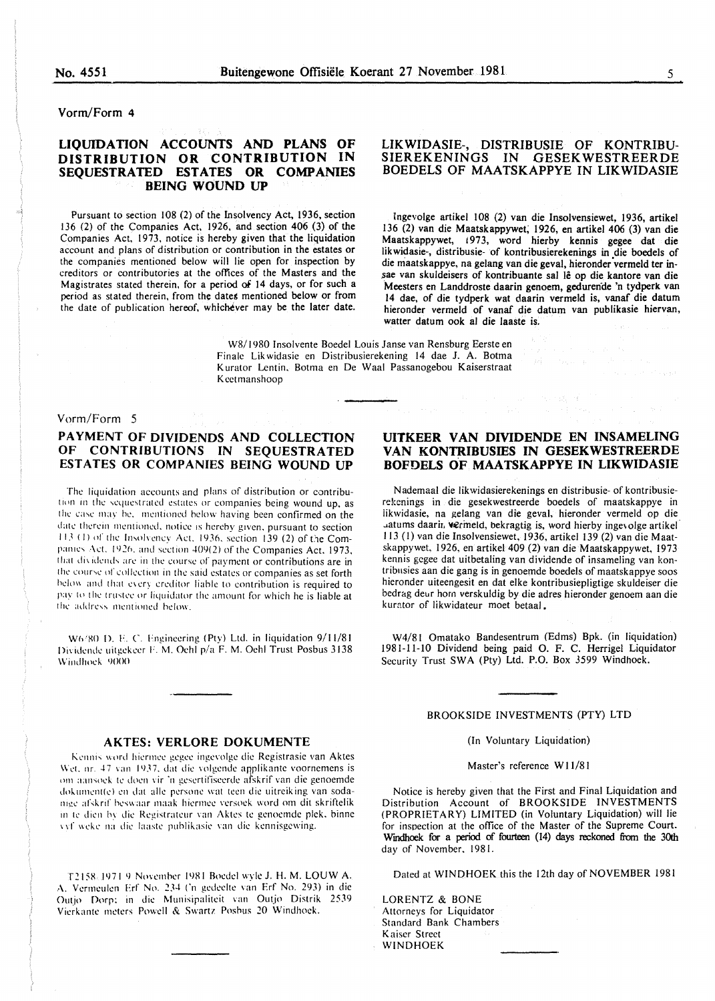#### Vorm/Form 4

# LIQUIDATION ACCOUNTS AND PLANS OF DISTRIBUTION OR CONTRIBUTION IN SEQUESTRATED ESTATES OR COMPANIES BEING WOUND UP

Pursuant to section 108 (2) of the Insolvency Act, 1936, section 136 (2) of the Companies Act, 1926, and section 406 (3) of the Companies Act, 1973, notice is hereby given that the liquidation account and plans of distribution or contribution in the estates or the companies mentioned below will lie open for inspection by creditors or contributories at the offices of the Masters and the Magistrates stated therein, for a period of 14 days, or for such a period as stated therein, from the dates mentioned below or from the date of publication hereof, whichever may be the later date.

### LIKWIDASIE-, DISTRIBUSIE OF KONTRIBU-SIEREKENINGS IN GESEKWESTREERDE BOEDELS OF MAATSKAPPYE IN LIKWIDASIE

lngevolge artikel 108 (2) van die Insolvensiewet, 1936, artikel 136 (2) van die Maatskappywet; 1926, en artikel 406 (3) van die Maatskappywet, 1973, word hierby kennis gegee dat die likwidasie-, distribusie- of kontribusierekenings in die boedels of die maatskappye, na gelang van die geval, hieronder vermeld ter insae van skuldeisers of kontribuante sal Je op die kantore van die Meesters en Landdroste daarin genoem, gedurende 'n tydperk van 14 dae, of die tydperk wat daarin vermeld is, vanaf die datum hieronder vermeld of vanaf die datum van publikasie hiervan, watter datum ook al die laaste is.

W8/ 1980 Insolvente Boedel Louis Janse van Rensburg Eerste en Finale Lik widasie en Distribusierekening 14 dae J. A. Botma Kurator Lentin. Botma en De Waal Passanogebou Kaiserstraat Kcctmanshoop

Vorm/Form 5

# PAYMENT OF DIVIDENDS AND COLLECTION OF CONTRIBUTIONS IN SEQUESTRATED ESTATES OR COMPANIES BEING WOUND UP

The liquidation accounts and plans of distribution or contribution in the sequestrated estates or companies being wound up, as the case may be, mentioned below having been confirmed on the date therein mentioned, notice is hereby given, pursuant to section 113 (1) of the Insolvency Act. 1936, section 139 (2) of the Companies Act. 1926, and section 409(2) of the Companies Act, 1973, that dividends are in the course of payment or contributions are in the course of collection in the said estates or companies as set forth helow and that every creditor liable to contribution is required to pay to the trustee or liquidator the amount for which he is liable at the address mentioned below.

W6/80 D. F. C. Engineering (Pty) Ltd. in liquidation 9/11/81 Dividende uitgekeer F. M. Oehl p/a F. M. Oehl Trust Posbus 3138 Windhock 9000

# UITKEER VAN DIVIDENDE EN INSAMELING VAN KONTRIBUSIES IN GESEKWESTREERDE BOFDELS OF MAATSKAPPYE IN LIKWIDASIE

第二次 城市

N ademaal die likwidasierekenings en distribusie- of kontribusierekenings in die gesekwestreerde boedels of maatskappye in iikwidasie, na gelang van die geval, hieronder vermeld op die uatums daarir. Vermeld, bekragtig is, word hierby ingevolge artikel 113 (I) van die Insolvensiewet, 1936, artikel 139 (2) van die Maatskappywet, 1926, en artikel 409 (2) van die Maatskappywet, 1973 kennis gcgee dat uitbetaling van dividende of insameling van kontribusies a an die gang is in genoemde boedels of maatskappye soos hieronder uiteengesit en dat elke kontribusiepligtige skuldeiser die bedrag deur horn verskuldig by die adres hieronder genoem aan die kurator of likwidateur moet betaal.

W4/81 Omatako Bandesentrum (Edms) Bpk. (in liquidation) 1981-11-10 Dividend being paid 0. F. C. Herrigel Liquidator Security Trust SWA (Pty) Ltd. P.O. Box *3599* Windhoek.

#### AKTES: VERLORE DOKUMENTE

Kennis word hiermee gegee ingevolge die Registrasie van Aktes Wet. nr. 47 van 1937, dat die volgende applikante voornemens is om aansoek te doen vir 'n gesertifiseerde afskrif van die genoemde dokumentte) en dat alle persone wat teen die uitreiking van sodanige afskrif beswaar maak hiermee versoek word om dit skriftelik in te dien by die Registrateur van Aktes te genoemde plek, binne vvf weke na die laaste publikasie van die kennisgewing.

T2158 1971 9 November 1981 Boedel wyle J. H. M. LOUW A. A. Vermeulen Erf No. 234 ('n gedeelte van Erf No. 293) in die Outjo Dorp: in die Munisipaliteit van Outjo Distrik 2539 Vierkante meters Powell & Swartz Poshus 20 Windhoek.

BROOKSIDE INVESTMENTS (PTY) LTD

(In Voluntary Liquidation)

Master's reference W 11/81

Notice is hereby given that the First and Final Liquidation and Distribution Account of BROOKSIDE INVESTMENTS (PROPRIETARY) LIMITED (in Voluntary Liquidation) will lie for inspection at the office of the Master of the Supreme Court-Wmdhoek for a period of fourteen (14) days reckoned from the 30th day of November. 1981.

Dated at WINDHOEK this the 12th day of NOVEMBER 1981

LORENTZ & BONE Attorneys for Liquidator Standard Bank Chambers Kaiser Street WINDHOEK